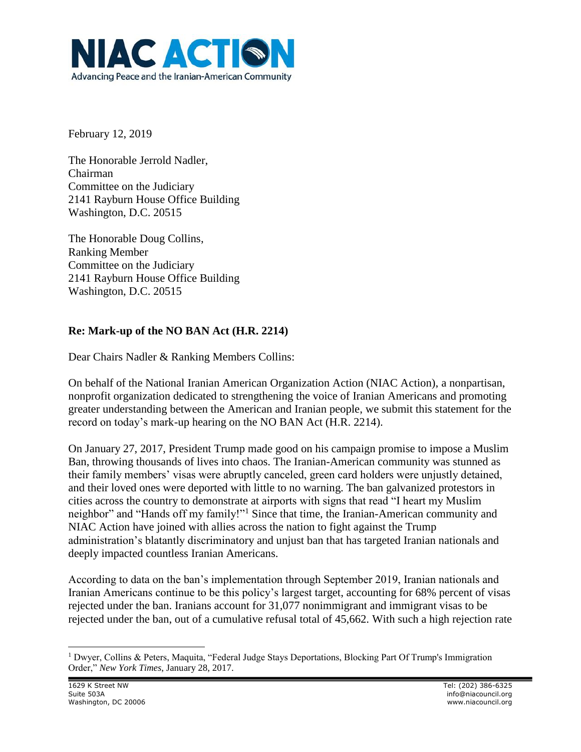

February 12, 2019

The Honorable Jerrold Nadler, Chairman Committee on the Judiciary 2141 Rayburn House Office Building Washington, D.C. 20515

The Honorable Doug Collins, Ranking Member Committee on the Judiciary 2141 Rayburn House Office Building Washington, D.C. 20515

## **Re: Mark-up of the NO BAN Act (H.R. 2214)**

Dear Chairs Nadler & Ranking Members Collins:

On behalf of the National Iranian American Organization Action (NIAC Action), a nonpartisan, nonprofit organization dedicated to strengthening the voice of Iranian Americans and promoting greater understanding between the American and Iranian people, we submit this statement for the record on today's mark-up hearing on the NO BAN Act (H.R. 2214).

On January 27, 2017, President Trump made good on his campaign promise to impose a Muslim Ban, throwing thousands of lives into chaos. The Iranian-American community was stunned as their family members' visas were abruptly canceled, green card holders were unjustly detained, and their loved ones were deported with little to no warning. The ban galvanized protestors in cities across the country to demonstrate at airports with signs that read "I heart my Muslim neighbor" and "Hands off my family!"<sup>1</sup> Since that time, the Iranian-American community and NIAC Action have joined with allies across the nation to fight against the Trump administration's blatantly discriminatory and unjust ban that has targeted Iranian nationals and deeply impacted countless Iranian Americans.

According to data on the ban's implementation through September 2019, Iranian nationals and Iranian Americans continue to be this policy's largest target, accounting for 68% percent of visas rejected under the ban. Iranians account for 31,077 nonimmigrant and immigrant visas to be rejected under the ban, out of a cumulative refusal total of 45,662. With such a high rejection rate

<sup>1</sup> Dwyer, Collins & Peters, Maquita, "Federal Judge Stays Deportations, Blocking Part Of Trump's Immigration Order," *New York Times*, January 28, 2017.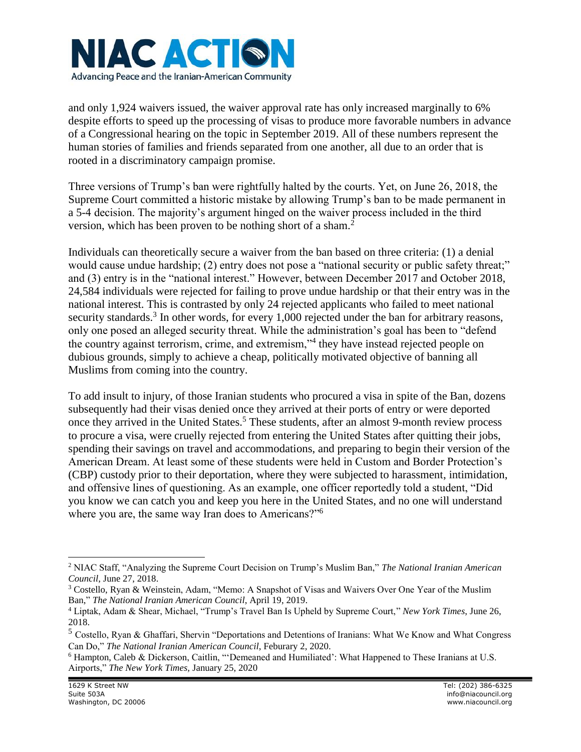

and only 1,924 waivers issued, the waiver approval rate has only increased marginally to 6% despite efforts to speed up the processing of visas to produce more favorable numbers in advance of a Congressional hearing on the topic in September 2019. All of these numbers represent the human stories of families and friends separated from one another, all due to an order that is rooted in a discriminatory campaign promise.

Three versions of Trump's ban were rightfully halted by the courts. Yet, on June 26, 2018, the Supreme Court committed a historic mistake by allowing Trump's ban to be made permanent in a 5-4 decision. The majority's argument hinged on the waiver process included in the third version, which has been proven to be nothing short of a sham.<sup>2</sup>

Individuals can theoretically secure a waiver from the ban based on three criteria: (1) a denial would cause undue hardship; (2) entry does not pose a "national security or public safety threat;" and (3) entry is in the "national interest." However, between December 2017 and October 2018, 24,584 individuals were rejected for failing to prove undue hardship or that their entry was in the national interest. This is contrasted by only 24 rejected applicants who failed to meet national security standards.<sup>3</sup> In other words, for every 1,000 rejected under the ban for arbitrary reasons, only one posed an alleged security threat. While the administration's goal has been to "defend the country against terrorism, crime, and extremism,"<sup>4</sup> they have instead rejected people on dubious grounds, simply to achieve a cheap, politically motivated objective of banning all Muslims from coming into the country.

To add insult to injury, of those Iranian students who procured a visa in spite of the Ban, dozens subsequently had their visas denied once they arrived at their ports of entry or were deported once they arrived in the United States.<sup>5</sup> These students, after an almost 9-month review process to procure a visa, were cruelly rejected from entering the United States after quitting their jobs, spending their savings on travel and accommodations, and preparing to begin their version of the American Dream. At least some of these students were held in Custom and Border Protection's (CBP) custody prior to their deportation, where they were subjected to harassment, intimidation, and offensive lines of questioning. As an example, one officer reportedly told a student, "Did you know we can catch you and keep you here in the United States, and no one will understand where you are, the same way Iran does to Americans?"<sup>6</sup>

<sup>2</sup> NIAC Staff, "Analyzing the Supreme Court Decision on Trump's Muslim Ban," *The National Iranian American Council*, June 27, 2018.

<sup>3</sup> Costello, Ryan & Weinstein, Adam, "Memo: A Snapshot of Visas and Waivers Over One Year of the Muslim Ban," *The National Iranian American Council*, April 19, 2019.

<sup>4</sup> Liptak, Adam & Shear, Michael, "Trump's Travel Ban Is Upheld by Supreme Court," *New York Times*, June 26, 2018.

<sup>5</sup> Costello, Ryan & Ghaffari, Shervin "Deportations and Detentions of Iranians: What We Know and What Congress Can Do," *The National Iranian American Council*, Feburary 2, 2020.

<sup>6</sup> Hampton, Caleb & Dickerson, Caitlin, "'Demeaned and Humiliated': What Happened to These Iranians at U.S. Airports," *The New York Times,* January 25, 2020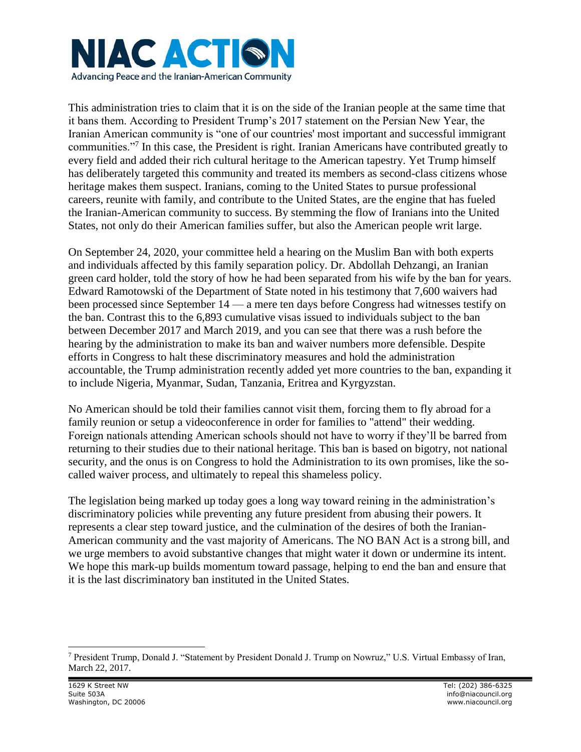

This administration tries to claim that it is on the side of the Iranian people at the same time that it bans them. According to President Trump's 2017 statement on the Persian New Year, the Iranian American community is "one of our countries' most important and successful immigrant communities."<sup>7</sup> In this case, the President is right. Iranian Americans have contributed greatly to every field and added their rich cultural heritage to the American tapestry. Yet Trump himself has deliberately targeted this community and treated its members as second-class citizens whose heritage makes them suspect. Iranians, coming to the United States to pursue professional careers, reunite with family, and contribute to the United States, are the engine that has fueled the Iranian-American community to success. By stemming the flow of Iranians into the United States, not only do their American families suffer, but also the American people writ large.

On September 24, 2020, your committee held a hearing on the Muslim Ban with both experts and individuals affected by this family separation policy. Dr. Abdollah Dehzangi, an Iranian green card holder, told the story of how he had been separated from his wife by the ban for years. Edward Ramotowski of the Department of State noted in his testimony that 7,600 waivers had been processed since September 14 — a mere ten days before Congress had witnesses testify on the ban. Contrast this to the 6,893 cumulative visas issued to individuals subject to the ban between December 2017 and March 2019, and you can see that there was a rush before the hearing by the administration to make its ban and waiver numbers more defensible. Despite efforts in Congress to halt these discriminatory measures and hold the administration accountable, the Trump administration recently added yet more countries to the ban, expanding it to include Nigeria, Myanmar, Sudan, Tanzania, Eritrea and Kyrgyzstan.

No American should be told their families cannot visit them, forcing them to fly abroad for a family reunion or setup a videoconference in order for families to "attend" their wedding. Foreign nationals attending American schools should not have to worry if they'll be barred from returning to their studies due to their national heritage. This ban is based on bigotry, not national security, and the onus is on Congress to hold the Administration to its own promises, like the socalled waiver process, and ultimately to repeal this shameless policy.

The legislation being marked up today goes a long way toward reining in the administration's discriminatory policies while preventing any future president from abusing their powers. It represents a clear step toward justice, and the culmination of the desires of both the Iranian-American community and the vast majority of Americans. The NO BAN Act is a strong bill, and we urge members to avoid substantive changes that might water it down or undermine its intent. We hope this mark-up builds momentum toward passage, helping to end the ban and ensure that it is the last discriminatory ban instituted in the United States.

<sup>7</sup> President Trump, Donald J. "Statement by President Donald J. Trump on Nowruz," U.S. Virtual Embassy of Iran, March 22, 2017.